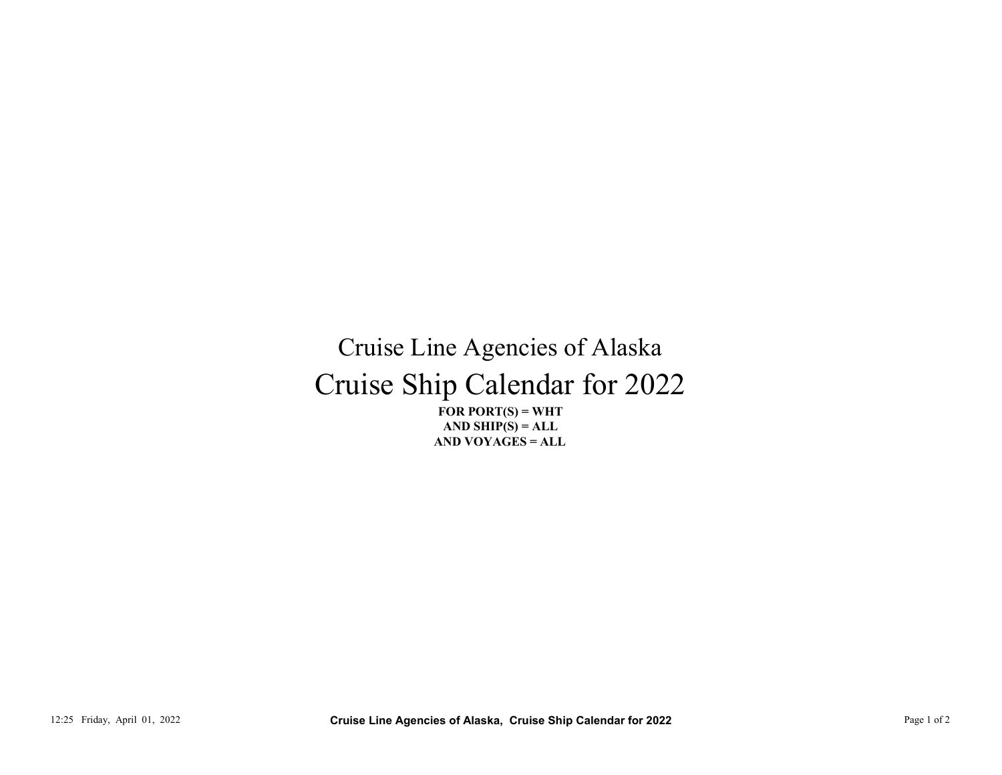Cruise Ship Calendar for 2022 Cruise Line Agencies of Alaska FOR PORT $(S)$  = WHT 12:25 Friday, April 01, 2022<br>
12:25 Friday, April 01, 2022<br>
Page 1 of 2 Cruise Line Agencies of Alaska, Cruise Ship Calendar for 2022<br>
Page 1 of 2<br>
Page 1 of 2<br>
Page 1 of 2<br>
Page 1 of 2<br>
Page 1 of 2<br>
Page 1 of 2<br>
Page 1 o

AND VOYAGES = ALL AND SHIP $(S) = ALL$